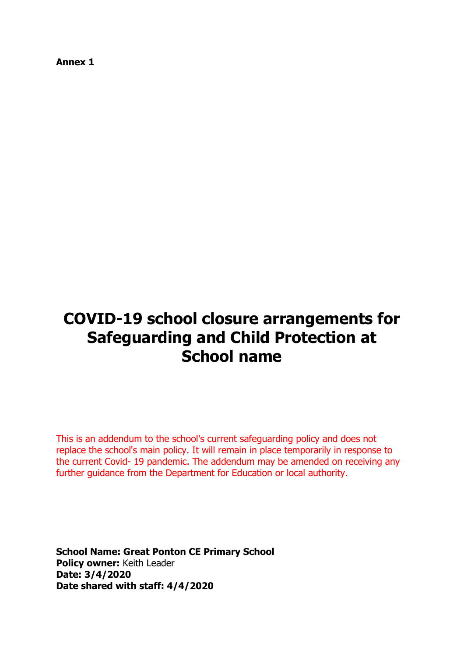**Annex 1**

# **COVID-19 school closure arrangements for Safeguarding and Child Protection at School name**

This is an addendum to the school's current safeguarding policy and does not replace the school's main policy. It will remain in place temporarily in response to the current Covid- 19 pandemic. The addendum may be amended on receiving any further guidance from the Department for Education or local authority.

**School Name: Great Ponton CE Primary School Policy owner:** Keith Leader **Date: 3/4/2020 Date shared with staff: 4/4/2020**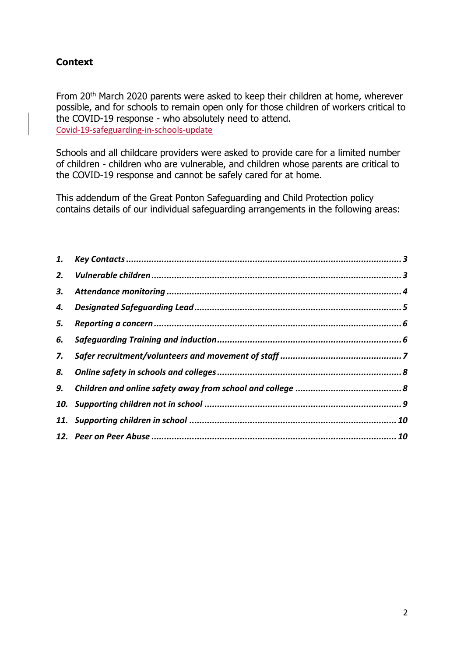# <span id="page-1-0"></span>**Context**

From 20<sup>th</sup> March 2020 parents were asked to keep their children at home, wherever possible, and for schools to remain open only for those children of workers critical to the COVID-19 response - who absolutely need to attend. [Covid-19-safeguarding-in-schools-update](https://www.gov.uk/government/publications/covid-19-safeguarding-in-schools-colleges-and-other-providers/coronavirus-covid-19-safeguarding-in-schools-colleges-and-other-providers)

Schools and all childcare providers were asked to provide care for a limited number of children - children who are vulnerable, and children whose parents are critical to the COVID-19 response and cannot be safely cared for at home.

This addendum of the Great Ponton Safeguarding and Child Protection policy contains details of our individual safeguarding arrangements in the following areas:

| 5. |  |
|----|--|
| 6. |  |
|    |  |
|    |  |
|    |  |
|    |  |
|    |  |
|    |  |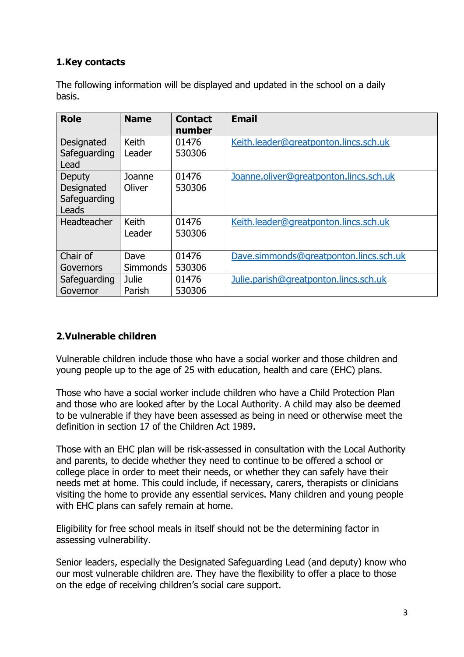# **1.Key contacts**

The following information will be displayed and updated in the school on a daily basis.

| <b>Role</b>          | <b>Name</b>     | <b>Contact</b><br>number | <b>Email</b>                           |
|----------------------|-----------------|--------------------------|----------------------------------------|
| Designated           | Keith           | 01476                    | Keith.leader@greatponton.lincs.sch.uk  |
| Safeguarding<br>Lead | Leader          | 530306                   |                                        |
| Deputy               | Joanne          | 01476                    | Joanne.oliver@greatponton.lincs.sch.uk |
| Designated           | Oliver          | 530306                   |                                        |
| Safeguarding         |                 |                          |                                        |
| Leads                |                 |                          |                                        |
| <b>Headteacher</b>   | Keith           | 01476                    | Keith.leader@greatponton.lincs.sch.uk  |
|                      | Leader          | 530306                   |                                        |
| Chair of             | Dave            | 01476                    | Dave.simmonds@greatponton.lincs.sch.uk |
| Governors            | <b>Simmonds</b> | 530306                   |                                        |
| Safeguarding         | Julie           | 01476                    | Julie.parish@greatponton.lincs.sch.uk  |
| Governor             | Parish          | 530306                   |                                        |

# <span id="page-2-0"></span>**2.Vulnerable children**

Vulnerable children include those who have a social worker and those children and young people up to the age of 25 with education, health and care (EHC) plans.

Those who have a social worker include children who have a Child Protection Plan and those who are looked after by the Local Authority. A child may also be deemed to be vulnerable if they have been assessed as being in need or otherwise meet the definition in section 17 of the Children Act 1989.

Those with an EHC plan will be risk-assessed in consultation with the Local Authority and parents, to decide whether they need to continue to be offered a school or college place in order to meet their needs, or whether they can safely have their needs met at home. This could include, if necessary, carers, therapists or clinicians visiting the home to provide any essential services. Many children and young people with EHC plans can safely remain at home.

Eligibility for free school meals in itself should not be the determining factor in assessing vulnerability.

Senior leaders, especially the Designated Safeguarding Lead (and deputy) know who our most vulnerable children are. They have the flexibility to offer a place to those on the edge of receiving children's social care support.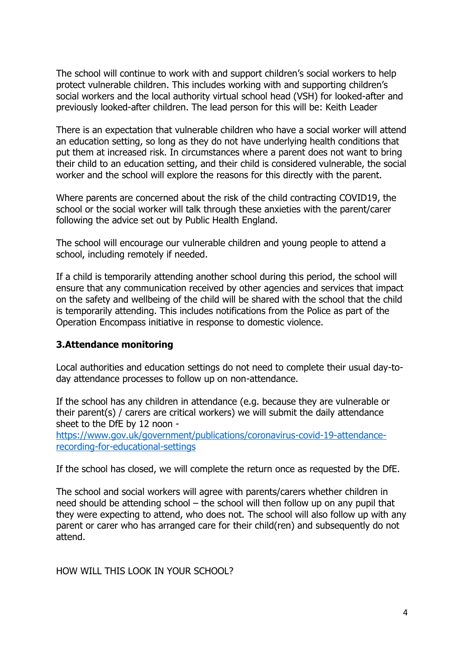The school will continue to work with and support children's social workers to help protect vulnerable children. This includes working with and supporting children's social workers and the local authority virtual school head (VSH) for looked-after and previously looked-after children. The lead person for this will be: Keith Leader

There is an expectation that vulnerable children who have a social worker will attend an education setting, so long as they do not have underlying health conditions that put them at increased risk. In circumstances where a parent does not want to bring their child to an education setting, and their child is considered vulnerable, the social worker and the school will explore the reasons for this directly with the parent.

Where parents are concerned about the risk of the child contracting COVID19, the school or the social worker will talk through these anxieties with the parent/carer following the advice set out by Public Health England.

The school will encourage our vulnerable children and young people to attend a school, including remotely if needed.

If a child is temporarily attending another school during this period, the school will ensure that any communication received by other agencies and services that impact on the safety and wellbeing of the child will be shared with the school that the child is temporarily attending. This includes notifications from the Police as part of the Operation Encompass initiative in response to domestic violence.

#### <span id="page-3-0"></span>**3.Attendance monitoring**

Local authorities and education settings do not need to complete their usual day-today attendance processes to follow up on non-attendance.

If the school has any children in attendance (e.g. because they are vulnerable or their parent(s) / carers are critical workers) we will submit the daily attendance sheet to the DfE by 12 noon -

[https://www.gov.uk/government/publications/coronavirus-covid-19-attendance](https://www.gov.uk/government/publications/coronavirus-covid-19-attendance-recording-for-educational-settings)[recording-for-educational-settings](https://www.gov.uk/government/publications/coronavirus-covid-19-attendance-recording-for-educational-settings)

If the school has closed, we will complete the return once as requested by the DfE.

The school and social workers will agree with parents/carers whether children in need should be attending school – the school will then follow up on any pupil that they were expecting to attend, who does not. The school will also follow up with any parent or carer who has arranged care for their child(ren) and subsequently do not attend.

HOW WILL THIS LOOK IN YOUR SCHOOL?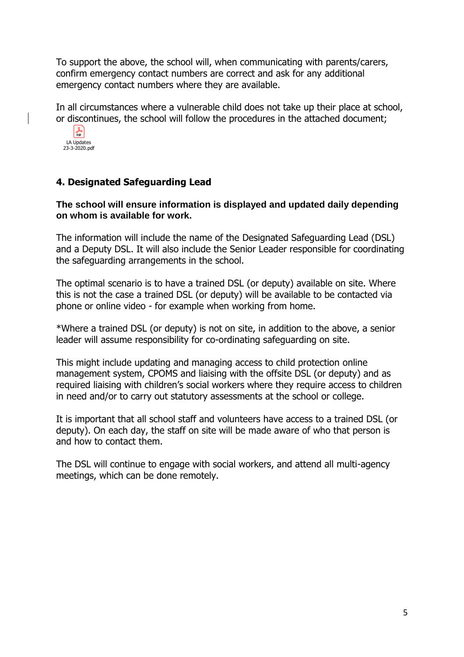To support the above, the school will, when communicating with parents/carers, confirm emergency contact numbers are correct and ask for any additional emergency contact numbers where they are available.

In all circumstances where a vulnerable child does not take up their place at school, or discontinues, the school will follow the procedures in the attached document;



#### <span id="page-4-0"></span>**4. Designated Safeguarding Lead**

#### **The school will ensure information is displayed and updated daily depending on whom is available for work.**

The information will include the name of the Designated Safeguarding Lead (DSL) and a Deputy DSL. It will also include the Senior Leader responsible for coordinating the safeguarding arrangements in the school.

The optimal scenario is to have a trained DSL (or deputy) available on site. Where this is not the case a trained DSL (or deputy) will be available to be contacted via phone or online video - for example when working from home.

\*Where a trained DSL (or deputy) is not on site, in addition to the above, a senior leader will assume responsibility for co-ordinating safeguarding on site.

This might include updating and managing access to child protection online management system, CPOMS and liaising with the offsite DSL (or deputy) and as required liaising with children's social workers where they require access to children in need and/or to carry out statutory assessments at the school or college.

It is important that all school staff and volunteers have access to a trained DSL (or deputy). On each day, the staff on site will be made aware of who that person is and how to contact them.

The DSL will continue to engage with social workers, and attend all multi-agency meetings, which can be done remotely.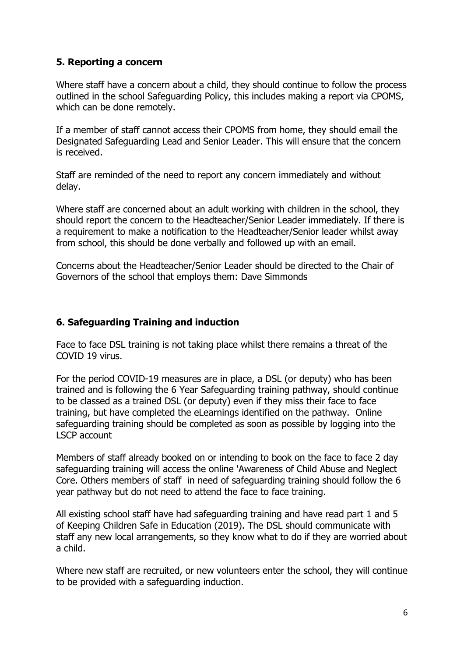# <span id="page-5-0"></span>**5. Reporting a concern**

Where staff have a concern about a child, they should continue to follow the process outlined in the school Safeguarding Policy, this includes making a report via CPOMS, which can be done remotely.

If a member of staff cannot access their CPOMS from home, they should email the Designated Safeguarding Lead and Senior Leader. This will ensure that the concern is received.

Staff are reminded of the need to report any concern immediately and without delay.

Where staff are concerned about an adult working with children in the school, they should report the concern to the Headteacher/Senior Leader immediately. If there is a requirement to make a notification to the Headteacher/Senior leader whilst away from school, this should be done verbally and followed up with an email.

Concerns about the Headteacher/Senior Leader should be directed to the Chair of Governors of the school that employs them: Dave Simmonds

#### <span id="page-5-1"></span>**6. Safeguarding Training and induction**

Face to face DSL training is not taking place whilst there remains a threat of the COVID 19 virus.

For the period COVID-19 measures are in place, a DSL (or deputy) who has been trained and is following the 6 Year Safeguarding training pathway, should continue to be classed as a trained DSL (or deputy) even if they miss their face to face training, but have completed the eLearnings identified on the pathway. Online safeguarding training should be completed as soon as possible by logging into the LSCP account

Members of staff already booked on or intending to book on the face to face 2 day safeguarding training will access the online 'Awareness of Child Abuse and Neglect Core. Others members of staff in need of safeguarding training should follow the 6 year pathway but do not need to attend the face to face training.

All existing school staff have had safeguarding training and have read part 1 and 5 of Keeping Children Safe in Education (2019). The DSL should communicate with staff any new local arrangements, so they know what to do if they are worried about a child.

Where new staff are recruited, or new volunteers enter the school, they will continue to be provided with a safeguarding induction.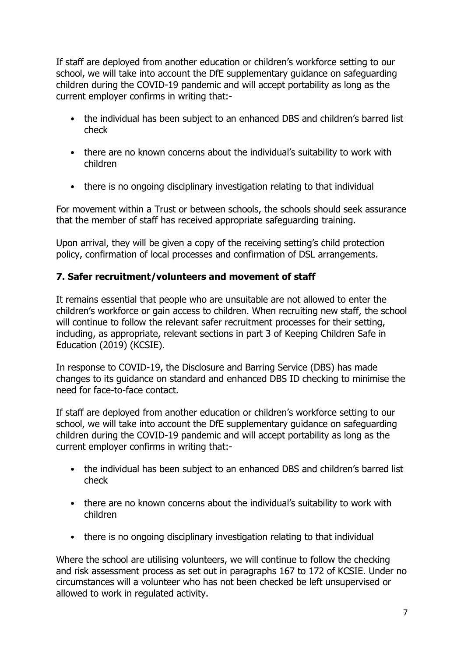If staff are deployed from another education or children's workforce setting to our school, we will take into account the DfE supplementary guidance on safeguarding children during the COVID-19 pandemic and will accept portability as long as the current employer confirms in writing that:-

- the individual has been subject to an enhanced DBS and children's barred list check
- there are no known concerns about the individual's suitability to work with children
- there is no ongoing disciplinary investigation relating to that individual

For movement within a Trust or between schools, the schools should seek assurance that the member of staff has received appropriate safeguarding training.

Upon arrival, they will be given a copy of the receiving setting's child protection policy, confirmation of local processes and confirmation of DSL arrangements.

# <span id="page-6-0"></span>**7. Safer recruitment/volunteers and movement of staff**

It remains essential that people who are unsuitable are not allowed to enter the children's workforce or gain access to children. When recruiting new staff, the school will continue to follow the relevant safer recruitment processes for their setting, including, as appropriate, relevant sections in part 3 of Keeping Children Safe in Education (2019) (KCSIE).

In response to COVID-19, the Disclosure and Barring Service (DBS) has made changes to its guidance on standard and enhanced DBS ID checking to minimise the need for face-to-face contact.

If staff are deployed from another education or children's workforce setting to our school, we will take into account the DfE supplementary guidance on safeguarding children during the COVID-19 pandemic and will accept portability as long as the current employer confirms in writing that:-

- the individual has been subject to an enhanced DBS and children's barred list check
- there are no known concerns about the individual's suitability to work with children
- there is no ongoing disciplinary investigation relating to that individual

Where the school are utilising volunteers, we will continue to follow the checking and risk assessment process as set out in paragraphs 167 to 172 of KCSIE. Under no circumstances will a volunteer who has not been checked be left unsupervised or allowed to work in regulated activity.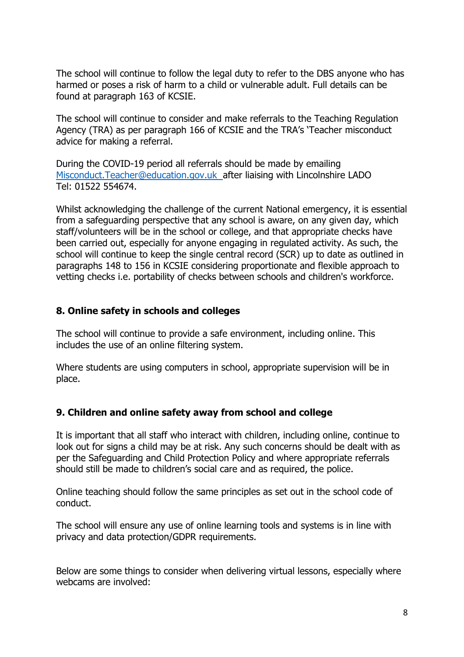The school will continue to follow the legal duty to refer to the DBS anyone who has harmed or poses a risk of harm to a child or vulnerable adult. Full details can be found at paragraph 163 of KCSIE.

The school will continue to consider and make referrals to the Teaching Regulation Agency (TRA) as per paragraph 166 of KCSIE and the TRA's 'Teacher misconduct advice for making a referral.

During the COVID-19 period all referrals should be made by emailing [Misconduct.Teacher@education.gov.uk](mailto:Misconduct.Teacher@education.gov.uk) after liaising with Lincolnshire LADO Tel: 01522 554674.

Whilst acknowledging the challenge of the current National emergency, it is essential from a safeguarding perspective that any school is aware, on any given day, which staff/volunteers will be in the school or college, and that appropriate checks have been carried out, especially for anyone engaging in regulated activity. As such, the school will continue to keep the single central record (SCR) up to date as outlined in paragraphs 148 to 156 in KCSIE considering proportionate and flexible approach to vetting checks i.e. portability of checks between schools and children's workforce.

#### <span id="page-7-0"></span>**8. Online safety in schools and colleges**

The school will continue to provide a safe environment, including online. This includes the use of an online filtering system.

Where students are using computers in school, appropriate supervision will be in place.

#### <span id="page-7-1"></span>**9. Children and online safety away from school and college**

It is important that all staff who interact with children, including online, continue to look out for signs a child may be at risk. Any such concerns should be dealt with as per the Safeguarding and Child Protection Policy and where appropriate referrals should still be made to children's social care and as required, the police.

Online teaching should follow the same principles as set out in the school code of conduct.

The school will ensure any use of online learning tools and systems is in line with privacy and data protection/GDPR requirements.

Below are some things to consider when delivering virtual lessons, especially where webcams are involved: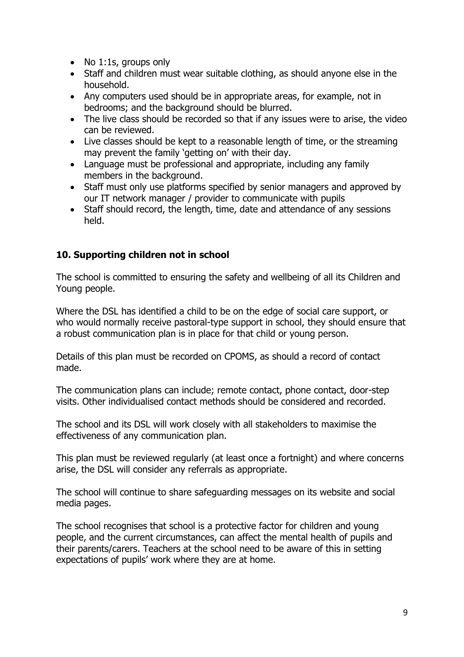- No 1:1s, groups only
- Staff and children must wear suitable clothing, as should anyone else in the household.
- Any computers used should be in appropriate areas, for example, not in bedrooms; and the background should be blurred.
- The live class should be recorded so that if any issues were to arise, the video can be reviewed.
- Live classes should be kept to a reasonable length of time, or the streaming may prevent the family 'getting on' with their day.
- Language must be professional and appropriate, including any family members in the background.
- Staff must only use platforms specified by senior managers and approved by our IT network manager / provider to communicate with pupils
- Staff should record, the length, time, date and attendance of any sessions held.

# <span id="page-8-0"></span>**10. Supporting children not in school**

The school is committed to ensuring the safety and wellbeing of all its Children and Young people.

Where the DSL has identified a child to be on the edge of social care support, or who would normally receive pastoral-type support in school, they should ensure that a robust communication plan is in place for that child or young person.

Details of this plan must be recorded on CPOMS, as should a record of contact made.

The communication plans can include; remote contact, phone contact, door-step visits. Other individualised contact methods should be considered and recorded.

The school and its DSL will work closely with all stakeholders to maximise the effectiveness of any communication plan.

This plan must be reviewed regularly (at least once a fortnight) and where concerns arise, the DSL will consider any referrals as appropriate.

The school will continue to share safeguarding messages on its website and social media pages.

The school recognises that school is a protective factor for children and young people, and the current circumstances, can affect the mental health of pupils and their parents/carers. Teachers at the school need to be aware of this in setting expectations of pupils' work where they are at home.